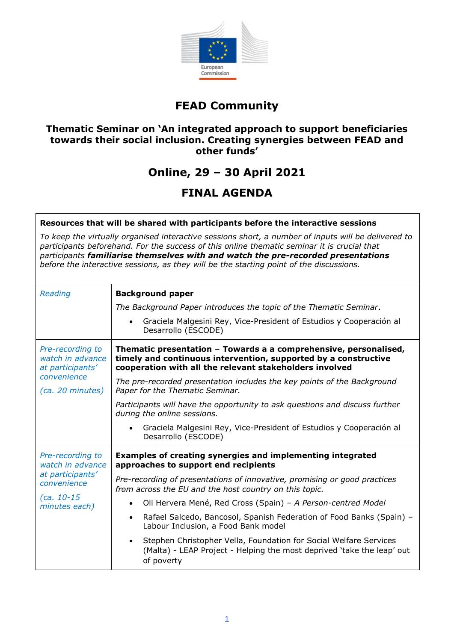

### **FEAD Community**

### **Thematic Seminar on 'An integrated approach to support beneficiaries towards their social inclusion. Creating synergies between FEAD and other funds'**

### **Online, 29 – 30 April 2021**

# **FINAL AGENDA**

#### **Resources that will be shared with participants before the interactive sessions**

*To keep the virtually organised interactive sessions short, a number of inputs will be delivered to participants beforehand. For the success of this online thematic seminar it is crucial that participants familiarise themselves with and watch the pre-recorded presentations before the interactive sessions, as they will be the starting point of the discussions.* 

| Reading                                                                                                  | <b>Background paper</b>                                                                                                                                                                        |
|----------------------------------------------------------------------------------------------------------|------------------------------------------------------------------------------------------------------------------------------------------------------------------------------------------------|
|                                                                                                          | The Background Paper introduces the topic of the Thematic Seminar.                                                                                                                             |
|                                                                                                          | Graciela Malgesini Rey, Vice-President of Estudios y Cooperación al<br>$\bullet$<br>Desarrollo (ESCODE)                                                                                        |
| Pre-recording to<br>watch in advance<br>at participants'<br>convenience<br>(ca. 20 minutes)              | Thematic presentation - Towards a a comprehensive, personalised,<br>timely and continuous intervention, supported by a constructive<br>cooperation with all the relevant stakeholders involved |
|                                                                                                          | The pre-recorded presentation includes the key points of the Background<br>Paper for the Thematic Seminar.                                                                                     |
|                                                                                                          | Participants will have the opportunity to ask questions and discuss further<br>during the online sessions.                                                                                     |
|                                                                                                          | Graciela Malgesini Rey, Vice-President of Estudios y Cooperación al<br>$\bullet$<br>Desarrollo (ESCODE)                                                                                        |
| Pre-recording to<br>watch in advance<br>at participants'<br>convenience<br>$(ca. 10-15$<br>minutes each) | <b>Examples of creating synergies and implementing integrated</b><br>approaches to support end recipients                                                                                      |
|                                                                                                          | Pre-recording of presentations of innovative, promising or good practices<br>from across the EU and the host country on this topic.                                                            |
|                                                                                                          | Oli Hervera Mené, Red Cross (Spain) - A Person-centred Model<br>$\bullet$                                                                                                                      |
|                                                                                                          | Rafael Salcedo, Bancosol, Spanish Federation of Food Banks (Spain) -<br>$\bullet$<br>Labour Inclusion, a Food Bank model                                                                       |
|                                                                                                          | Stephen Christopher Vella, Foundation for Social Welfare Services<br>(Malta) - LEAP Project - Helping the most deprived 'take the leap' out<br>of poverty                                      |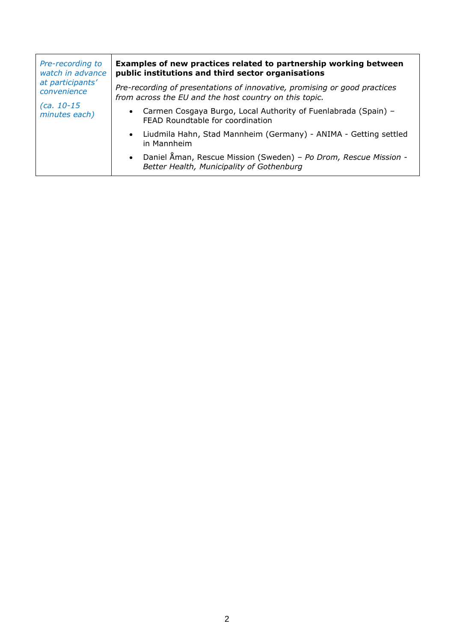| Pre-recording to<br>watch in advance<br>at participants'<br>convenience<br>$(ca. 10-15$<br>minutes each) | Examples of new practices related to partnership working between<br>public institutions and third sector organisations              |
|----------------------------------------------------------------------------------------------------------|-------------------------------------------------------------------------------------------------------------------------------------|
|                                                                                                          | Pre-recording of presentations of innovative, promising or good practices<br>from across the EU and the host country on this topic. |
|                                                                                                          | • Carmen Cosgaya Burgo, Local Authority of Fuenlabrada (Spain) -<br>FEAD Roundtable for coordination                                |
|                                                                                                          | • Liudmila Hahn, Stad Mannheim (Germany) - ANIMA - Getting settled<br>in Mannheim                                                   |
|                                                                                                          | • Daniel Åman, Rescue Mission (Sweden) - Po Drom, Rescue Mission -<br>Better Health, Municipality of Gothenburg                     |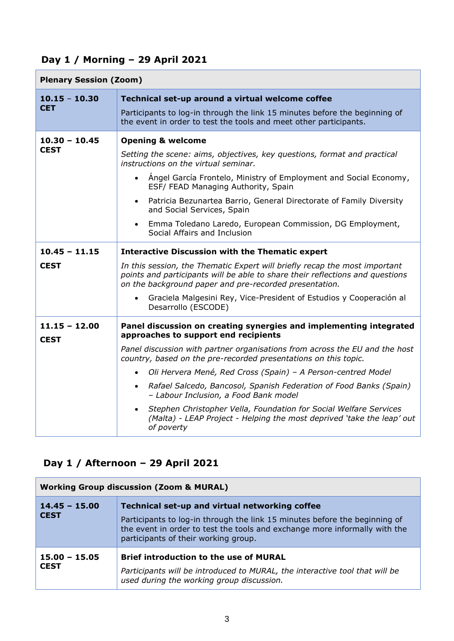# **Day 1 / Morning – 29 April 2021**

| <b>Plenary Session (Zoom)</b>  |                                                                                                                                                                                                                       |
|--------------------------------|-----------------------------------------------------------------------------------------------------------------------------------------------------------------------------------------------------------------------|
| $10.15 - 10.30$<br><b>CET</b>  | Technical set-up around a virtual welcome coffee<br>Participants to log-in through the link 15 minutes before the beginning of<br>the event in order to test the tools and meet other participants.                   |
|                                |                                                                                                                                                                                                                       |
| $10.30 - 10.45$<br><b>CEST</b> | <b>Opening &amp; welcome</b><br>Setting the scene: aims, objectives, key questions, format and practical<br>instructions on the virtual seminar.                                                                      |
|                                | Angel García Frontelo, Ministry of Employment and Social Economy,<br>ESF/ FEAD Managing Authority, Spain                                                                                                              |
|                                | Patricia Bezunartea Barrio, General Directorate of Family Diversity<br>$\bullet$<br>and Social Services, Spain                                                                                                        |
|                                | Emma Toledano Laredo, European Commission, DG Employment,<br>Social Affairs and Inclusion                                                                                                                             |
| $10.45 - 11.15$                | <b>Interactive Discussion with the Thematic expert</b>                                                                                                                                                                |
| <b>CEST</b>                    | In this session, the Thematic Expert will briefly recap the most important<br>points and participants will be able to share their reflections and questions<br>on the background paper and pre-recorded presentation. |
|                                | Graciela Malgesini Rey, Vice-President of Estudios y Cooperación al<br>Desarrollo (ESCODE)                                                                                                                            |
| $11.15 - 12.00$<br><b>CEST</b> | Panel discussion on creating synergies and implementing integrated<br>approaches to support end recipients                                                                                                            |
|                                | Panel discussion with partner organisations from across the EU and the host<br>country, based on the pre-recorded presentations on this topic.                                                                        |
|                                | Oli Hervera Mené, Red Cross (Spain) - A Person-centred Model<br>$\bullet$                                                                                                                                             |
|                                | Rafael Salcedo, Bancosol, Spanish Federation of Food Banks (Spain)<br>$\bullet$<br>- Labour Inclusion, a Food Bank model                                                                                              |
|                                | Stephen Christopher Vella, Foundation for Social Welfare Services<br>(Malta) - LEAP Project - Helping the most deprived 'take the leap' out<br>of poverty                                                             |

### **Day 1 / Afternoon – 29 April 2021**

| <b>Working Group discussion (Zoom &amp; MURAL)</b> |                                                                                                                                                                                                                                                    |
|----------------------------------------------------|----------------------------------------------------------------------------------------------------------------------------------------------------------------------------------------------------------------------------------------------------|
| $14.45 - 15.00$<br><b>CEST</b>                     | Technical set-up and virtual networking coffee<br>Participants to log-in through the link 15 minutes before the beginning of<br>the event in order to test the tools and exchange more informally with the<br>participants of their working group. |
| $15.00 - 15.05$<br><b>CEST</b>                     | <b>Brief introduction to the use of MURAL</b><br>Participants will be introduced to MURAL, the interactive tool that will be<br>used during the working group discussion.                                                                          |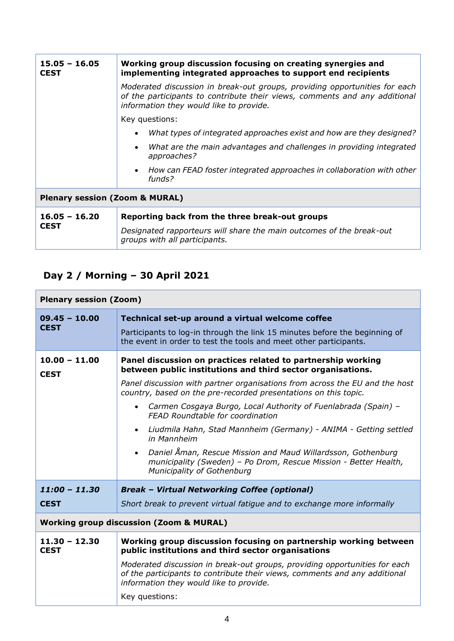| $15.05 - 16.05$<br><b>CEST</b>            | Working group discussion focusing on creating synergies and<br>implementing integrated approaches to support end recipients                                                                         |
|-------------------------------------------|-----------------------------------------------------------------------------------------------------------------------------------------------------------------------------------------------------|
|                                           | Moderated discussion in break-out groups, providing opportunities for each<br>of the participants to contribute their views, comments and any additional<br>information they would like to provide. |
|                                           | Key questions:                                                                                                                                                                                      |
|                                           | What types of integrated approaches exist and how are they designed?<br>$\bullet$                                                                                                                   |
|                                           | What are the main advantages and challenges in providing integrated<br>$\bullet$<br>approaches?                                                                                                     |
|                                           | • How can FEAD foster integrated approaches in collaboration with other<br>funds?                                                                                                                   |
| <b>Plenary session (Zoom &amp; MURAL)</b> |                                                                                                                                                                                                     |
| $16.05 - 16.20$<br><b>CEST</b>            | Reporting back from the three break-out groups                                                                                                                                                      |
|                                           | Designated rapporteurs will share the main outcomes of the break-out<br>groups with all participants.                                                                                               |

# **Day 2 / Morning – 30 April 2021**

| <b>Plenary session (Zoom)</b>                      |                                                                                                                                                                                                                                                                                                                                                                                                                                                                                                                                                                                                                                          |
|----------------------------------------------------|------------------------------------------------------------------------------------------------------------------------------------------------------------------------------------------------------------------------------------------------------------------------------------------------------------------------------------------------------------------------------------------------------------------------------------------------------------------------------------------------------------------------------------------------------------------------------------------------------------------------------------------|
| $09.45 - 10.00$<br><b>CEST</b>                     | Technical set-up around a virtual welcome coffee<br>Participants to log-in through the link 15 minutes before the beginning of<br>the event in order to test the tools and meet other participants.                                                                                                                                                                                                                                                                                                                                                                                                                                      |
| $10.00 - 11.00$<br><b>CEST</b>                     | Panel discussion on practices related to partnership working<br>between public institutions and third sector organisations.<br>Panel discussion with partner organisations from across the EU and the host<br>country, based on the pre-recorded presentations on this topic.<br>Carmen Cosgaya Burgo, Local Authority of Fuenlabrada (Spain) -<br>FEAD Roundtable for coordination<br>Liudmila Hahn, Stad Mannheim (Germany) - ANIMA - Getting settled<br>in Mannheim<br>Daniel Åman, Rescue Mission and Maud Willardsson, Gothenburg<br>municipality (Sweden) - Po Drom, Rescue Mission - Better Health,<br>Municipality of Gothenburg |
| $11:00 - 11.30$<br><b>CEST</b>                     | <b>Break - Virtual Networking Coffee (optional)</b><br>Short break to prevent virtual fatigue and to exchange more informally                                                                                                                                                                                                                                                                                                                                                                                                                                                                                                            |
| <b>Working group discussion (Zoom &amp; MURAL)</b> |                                                                                                                                                                                                                                                                                                                                                                                                                                                                                                                                                                                                                                          |
| $11.30 - 12.30$<br><b>CEST</b>                     | Working group discussion focusing on partnership working between<br>public institutions and third sector organisations<br>Moderated discussion in break-out groups, providing opportunities for each<br>of the participants to contribute their views, comments and any additional<br>information they would like to provide.<br>Key questions:                                                                                                                                                                                                                                                                                          |